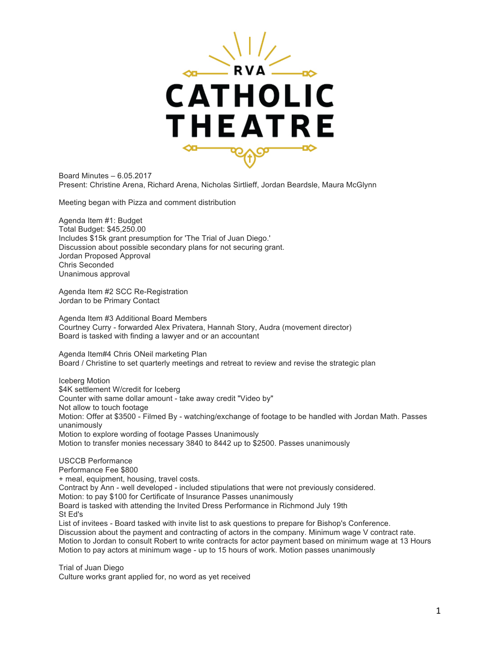

Board Minutes – 6.05.2017 Present: Christine Arena, Richard Arena, Nicholas Sirtlieff, Jordan Beardsle, Maura McGlynn

Meeting began with Pizza and comment distribution

Agenda Item #1: Budget Total Budget: \$45,250.00 Includes \$15k grant presumption for 'The Trial of Juan Diego.' Discussion about possible secondary plans for not securing grant. Jordan Proposed Approval Chris Seconded Unanimous approval

Agenda Item #2 SCC Re-Registration Jordan to be Primary Contact

Agenda Item #3 Additional Board Members Courtney Curry - forwarded Alex Privatera, Hannah Story, Audra (movement director) Board is tasked with finding a lawyer and or an accountant

Agenda Item#4 Chris ONeil marketing Plan Board / Christine to set quarterly meetings and retreat to review and revise the strategic plan

Iceberg Motion \$4K settlement W/credit for Iceberg Counter with same dollar amount - take away credit "Video by" Not allow to touch footage Motion: Offer at \$3500 - Filmed By - watching/exchange of footage to be handled with Jordan Math. Passes unanimously Motion to explore wording of footage Passes Unanimously Motion to transfer monies necessary 3840 to 8442 up to \$2500. Passes unanimously

USCCB Performance Performance Fee \$800 + meal, equipment, housing, travel costs. Contract by Ann - well developed - included stipulations that were not previously considered. Motion: to pay \$100 for Certificate of Insurance Passes unanimously Board is tasked with attending the Invited Dress Performance in Richmond July 19th St Ed's List of invitees - Board tasked with invite list to ask questions to prepare for Bishop's Conference. Discussion about the payment and contracting of actors in the company. Minimum wage V contract rate. Motion to Jordan to consult Robert to write contracts for actor payment based on minimum wage at 13 Hours

Motion to pay actors at minimum wage - up to 15 hours of work. Motion passes unanimously

Trial of Juan Diego Culture works grant applied for, no word as yet received